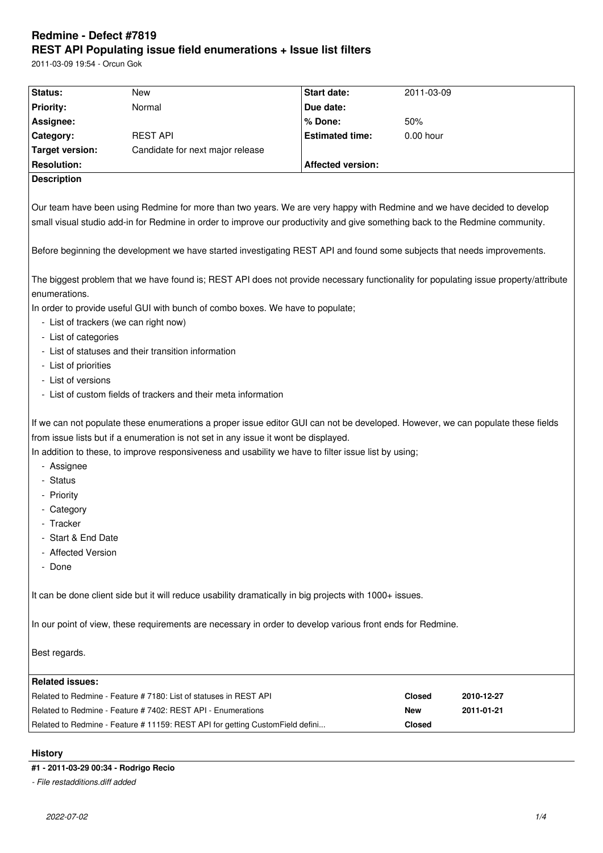# **Redmine - Defect #7819 REST API Populating issue field enumerations + Issue list filters**

2011-03-09 19:54 - Orcun Gok

| Status:                                                                                                                                                                                                                                                                                                                                                                | New                                                                           | Start date:              | 2011-03-09    |            |
|------------------------------------------------------------------------------------------------------------------------------------------------------------------------------------------------------------------------------------------------------------------------------------------------------------------------------------------------------------------------|-------------------------------------------------------------------------------|--------------------------|---------------|------------|
| <b>Priority:</b>                                                                                                                                                                                                                                                                                                                                                       | Normal                                                                        | Due date:                |               |            |
| Assignee:                                                                                                                                                                                                                                                                                                                                                              |                                                                               | % Done:                  | 50%           |            |
| Category:                                                                                                                                                                                                                                                                                                                                                              | <b>REST API</b>                                                               | <b>Estimated time:</b>   | $0.00$ hour   |            |
| <b>Target version:</b>                                                                                                                                                                                                                                                                                                                                                 | Candidate for next major release                                              |                          |               |            |
| <b>Resolution:</b>                                                                                                                                                                                                                                                                                                                                                     |                                                                               | <b>Affected version:</b> |               |            |
| <b>Description</b>                                                                                                                                                                                                                                                                                                                                                     |                                                                               |                          |               |            |
|                                                                                                                                                                                                                                                                                                                                                                        |                                                                               |                          |               |            |
| Our team have been using Redmine for more than two years. We are very happy with Redmine and we have decided to develop<br>small visual studio add-in for Redmine in order to improve our productivity and give something back to the Redmine community.                                                                                                               |                                                                               |                          |               |            |
| Before beginning the development we have started investigating REST API and found some subjects that needs improvements.                                                                                                                                                                                                                                               |                                                                               |                          |               |            |
| The biggest problem that we have found is; REST API does not provide necessary functionality for populating issue property/attribute<br>enumerations.                                                                                                                                                                                                                  |                                                                               |                          |               |            |
| In order to provide useful GUI with bunch of combo boxes. We have to populate;                                                                                                                                                                                                                                                                                         |                                                                               |                          |               |            |
| - List of trackers (we can right now)<br>- List of categories                                                                                                                                                                                                                                                                                                          |                                                                               |                          |               |            |
| - List of statuses and their transition information                                                                                                                                                                                                                                                                                                                    |                                                                               |                          |               |            |
| - List of priorities                                                                                                                                                                                                                                                                                                                                                   |                                                                               |                          |               |            |
| - List of versions                                                                                                                                                                                                                                                                                                                                                     |                                                                               |                          |               |            |
| - List of custom fields of trackers and their meta information                                                                                                                                                                                                                                                                                                         |                                                                               |                          |               |            |
|                                                                                                                                                                                                                                                                                                                                                                        |                                                                               |                          |               |            |
| If we can not populate these enumerations a proper issue editor GUI can not be developed. However, we can populate these fields<br>from issue lists but if a enumeration is not set in any issue it wont be displayed.<br>In addition to these, to improve responsiveness and usability we have to filter issue list by using;<br>- Assignee<br>- Status<br>- Priority |                                                                               |                          |               |            |
| - Category                                                                                                                                                                                                                                                                                                                                                             |                                                                               |                          |               |            |
| - Tracker                                                                                                                                                                                                                                                                                                                                                              |                                                                               |                          |               |            |
| - Start & End Date                                                                                                                                                                                                                                                                                                                                                     |                                                                               |                          |               |            |
| - Affected Version                                                                                                                                                                                                                                                                                                                                                     |                                                                               |                          |               |            |
| - Done                                                                                                                                                                                                                                                                                                                                                                 |                                                                               |                          |               |            |
|                                                                                                                                                                                                                                                                                                                                                                        |                                                                               |                          |               |            |
| It can be done client side but it will reduce usability dramatically in big projects with 1000+ issues.                                                                                                                                                                                                                                                                |                                                                               |                          |               |            |
| In our point of view, these requirements are necessary in order to develop various front ends for Redmine.                                                                                                                                                                                                                                                             |                                                                               |                          |               |            |
| Best regards.                                                                                                                                                                                                                                                                                                                                                          |                                                                               |                          |               |            |
| <b>Related issues:</b>                                                                                                                                                                                                                                                                                                                                                 |                                                                               |                          |               |            |
|                                                                                                                                                                                                                                                                                                                                                                        | Related to Redmine - Feature # 7180: List of statuses in REST API             |                          | <b>Closed</b> | 2010-12-27 |
| Related to Redmine - Feature # 7402: REST API - Enumerations                                                                                                                                                                                                                                                                                                           |                                                                               |                          | New           | 2011-01-21 |
|                                                                                                                                                                                                                                                                                                                                                                        | Related to Redmine - Feature # 11159: REST API for getting CustomField defini |                          | Closed        |            |
| <b>History</b>                                                                                                                                                                                                                                                                                                                                                         |                                                                               |                          |               |            |

# **#1 - 2011-03-29 00:34 - Rodrigo Recio**

*- File restadditions.diff added*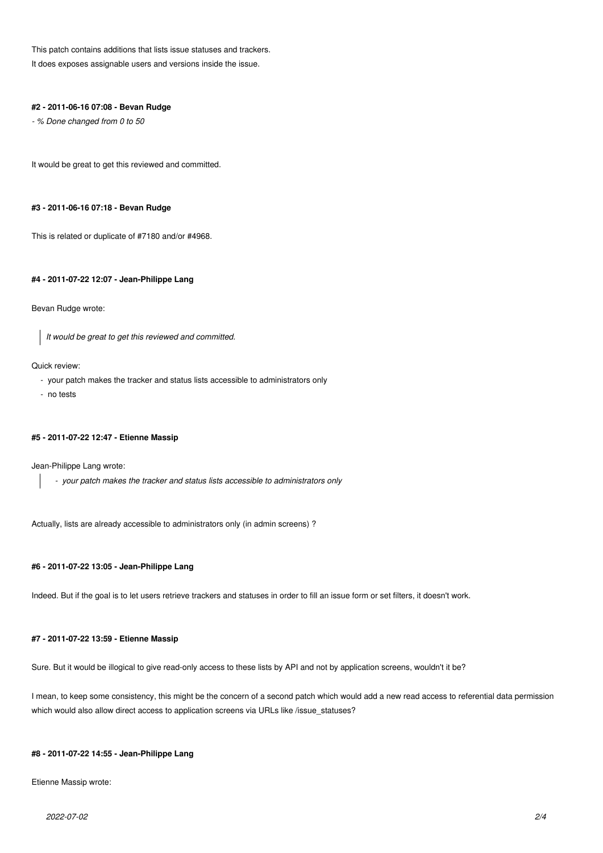This patch contains additions that lists issue statuses and trackers. It does exposes assignable users and versions inside the issue.

#### **#2 - 2011-06-16 07:08 - Bevan Rudge**

*- % Done changed from 0 to 50*

It would be great to get this reviewed and committed.

### **#3 - 2011-06-16 07:18 - Bevan Rudge**

This is related or duplicate of #7180 and/or #4968.

### **#4 - 2011-07-22 12:07 - Jean-Philippe Lang**

#### Bevan Rudge wrote:

*It would be great to get this reviewed and committed.*

#### Quick review:

- your patch makes the tracker and status lists accessible to administrators only
- no tests

#### **#5 - 2011-07-22 12:47 - Etienne Massip**

Jean-Philippe Lang wrote:

 *- your patch makes the tracker and status lists accessible to administrators only*

Actually, lists are already accessible to administrators only (in admin screens) ?

## **#6 - 2011-07-22 13:05 - Jean-Philippe Lang**

Indeed. But if the goal is to let users retrieve trackers and statuses in order to fill an issue form or set filters, it doesn't work.

#### **#7 - 2011-07-22 13:59 - Etienne Massip**

Sure. But it would be illogical to give read-only access to these lists by API and not by application screens, wouldn't it be?

I mean, to keep some consistency, this might be the concern of a second patch which would add a new read access to referential data permission which would also allow direct access to application screens via URLs like /issue\_statuses?

#### **#8 - 2011-07-22 14:55 - Jean-Philippe Lang**

Etienne Massip wrote: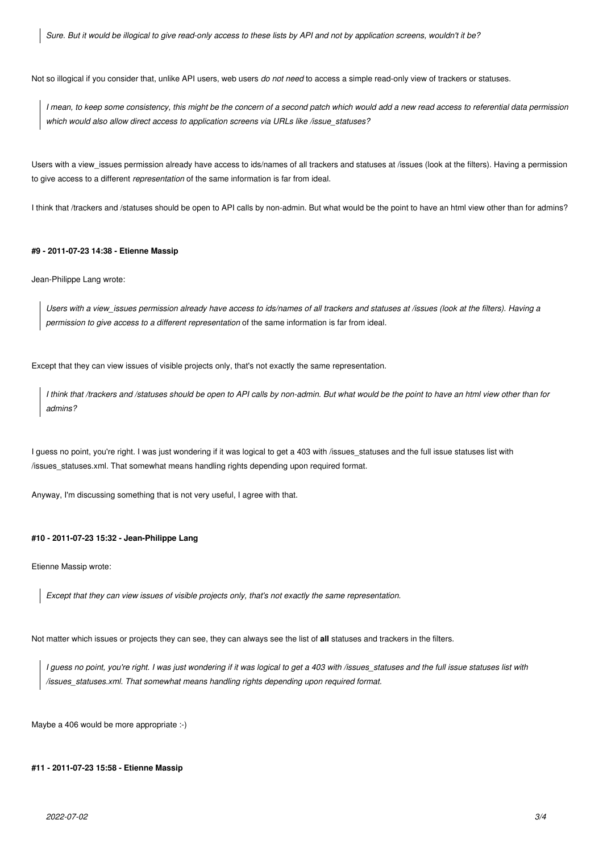*Sure. But it would be illogical to give read-only access to these lists by API and not by application screens, wouldn't it be?*

Not so illogical if you consider that, unlike API users, web users *do not need* to access a simple read-only view of trackers or statuses.

*I mean, to keep some consistency, this might be the concern of a second patch which would add a new read access to referential data permission which would also allow direct access to application screens via URLs like /issue\_statuses?*

Users with a view issues permission already have access to ids/names of all trackers and statuses at /issues (look at the filters). Having a permission to give access to a different *representation* of the same information is far from ideal.

I think that /trackers and /statuses should be open to API calls by non-admin. But what would be the point to have an html view other than for admins?

### **#9 - 2011-07-23 14:38 - Etienne Massip**

Jean-Philippe Lang wrote:

*Users with a view\_issues permission already have access to ids/names of all trackers and statuses at /issues (look at the filters). Having a permission to give access to a different representation* of the same information is far from ideal.

Except that they can view issues of visible projects only, that's not exactly the same representation.

*I think that /trackers and /statuses should be open to API calls by non-admin. But what would be the point to have an html view other than for admins?*

I guess no point, you're right. I was just wondering if it was logical to get a 403 with /issues statuses and the full issue statuses list with /issues\_statuses.xml. That somewhat means handling rights depending upon required format.

Anyway, I'm discussing something that is not very useful, I agree with that.

### **#10 - 2011-07-23 15:32 - Jean-Philippe Lang**

Etienne Massip wrote:

*Except that they can view issues of visible projects only, that's not exactly the same representation.*

Not matter which issues or projects they can see, they can always see the list of **all** statuses and trackers in the filters.

*I guess no point, you're right. I was just wondering if it was logical to get a 403 with /issues\_statuses and the full issue statuses list with /issues\_statuses.xml. That somewhat means handling rights depending upon required format.*

Maybe a 406 would be more appropriate :-)

#### **#11 - 2011-07-23 15:58 - Etienne Massip**